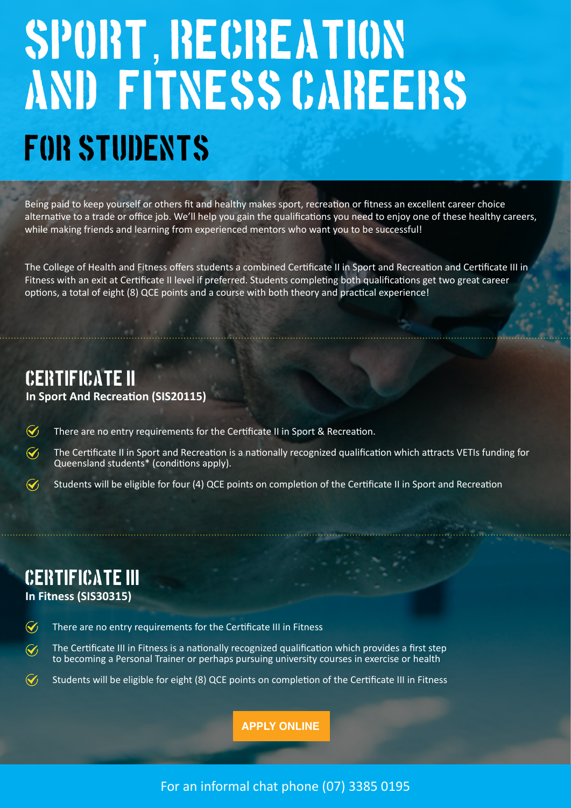## SPORT, RECREATION AND FITNESS CAREERS FOR STUDENTS

Being paid to keep yourself or others fit and healthy makes sport, recreation or fitness an excellent career choice alternative to a trade or office job. We'll help you gain the qualifications you need to enjoy one of these healthy careers, while making friends and learning from experienced mentors who want you to be successful!

The College of Health and Fitness offers students a combined Certificate II in Sport and Recreation and Certificate III in Fitness with an exit at Certificate II level if preferred. Students completing both qualifications get two great career options, a total of eight (8) QCE points and a course with both theory and practical experience!

## Certificate II

**In Sport And Recreation (SIS20115)** 

 $\mathcal G$ There are no entry requirements for the Certificate II in Sport & Recreation.

 $\mathcal G$ The Certificate II in Sport and Recreation is a nationally recognized qualification which attracts VETIs funding for Queensland students\* (conditions apply).

 $\widetilde{\mathcal{N}}$ Students will be eligible for four (4) QCE points on completion of the Certificate II in Sport and Recreation

## Certificate III

**In Fitness (SIS30315)**

 $\widetilde{\mathcal{N}}$ There are no entry requirements for the Certificate III in Fitness

- $\widetilde{\mathcal{A}}$ The Certificate III in Fitness is a nationally recognized qualification which provides a first step to becoming a Personal Trainer or perhaps pursuing university courses in exercise or health
- $\widetilde{\mathcal{N}}$ Students will be eligible for eight (8) QCE points on completion of the Certificate III in Fitness

**[APPLY ONLINE](https://form.jotform.co/92927497806878)**

For an informal chat phone (07) 3385 0195